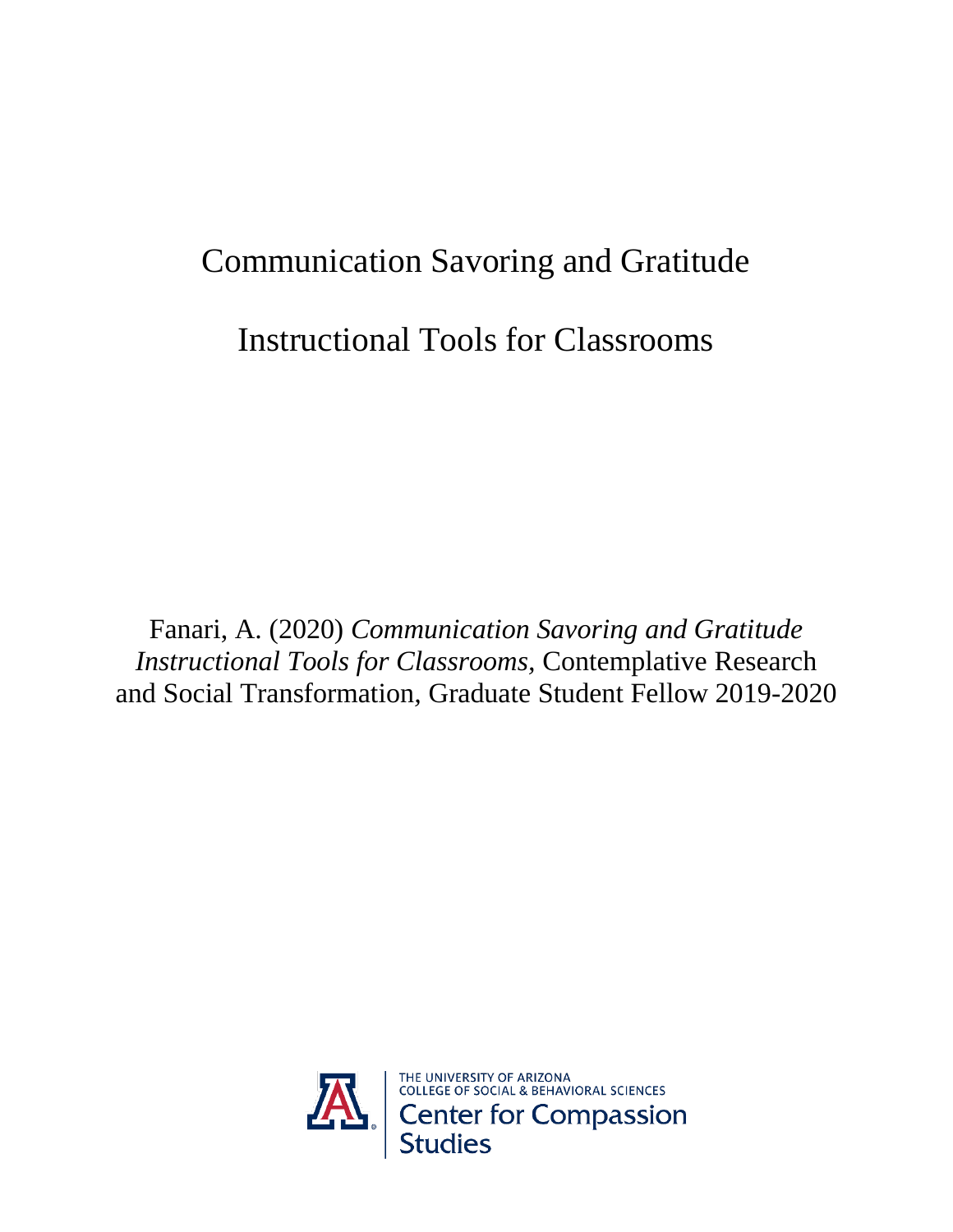# Communication Savoring and Gratitude Instructional Tools for Classrooms

Fanari, A. (2020) *Communication Savoring and Gratitude Instructional Tools for Classrooms,* Contemplative Research and Social Transformation*,* Graduate Student Fellow 2019-2020

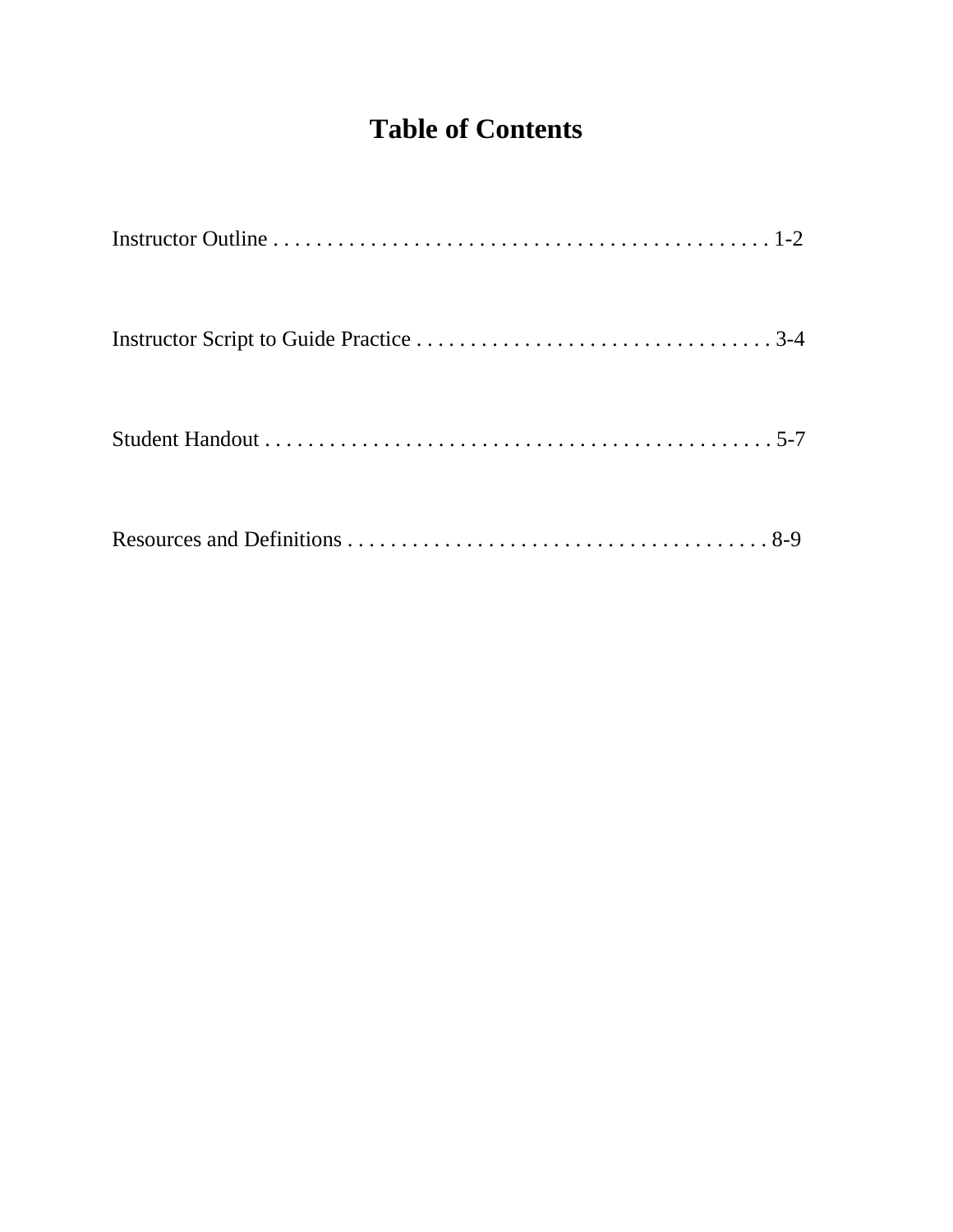# **Table of Contents**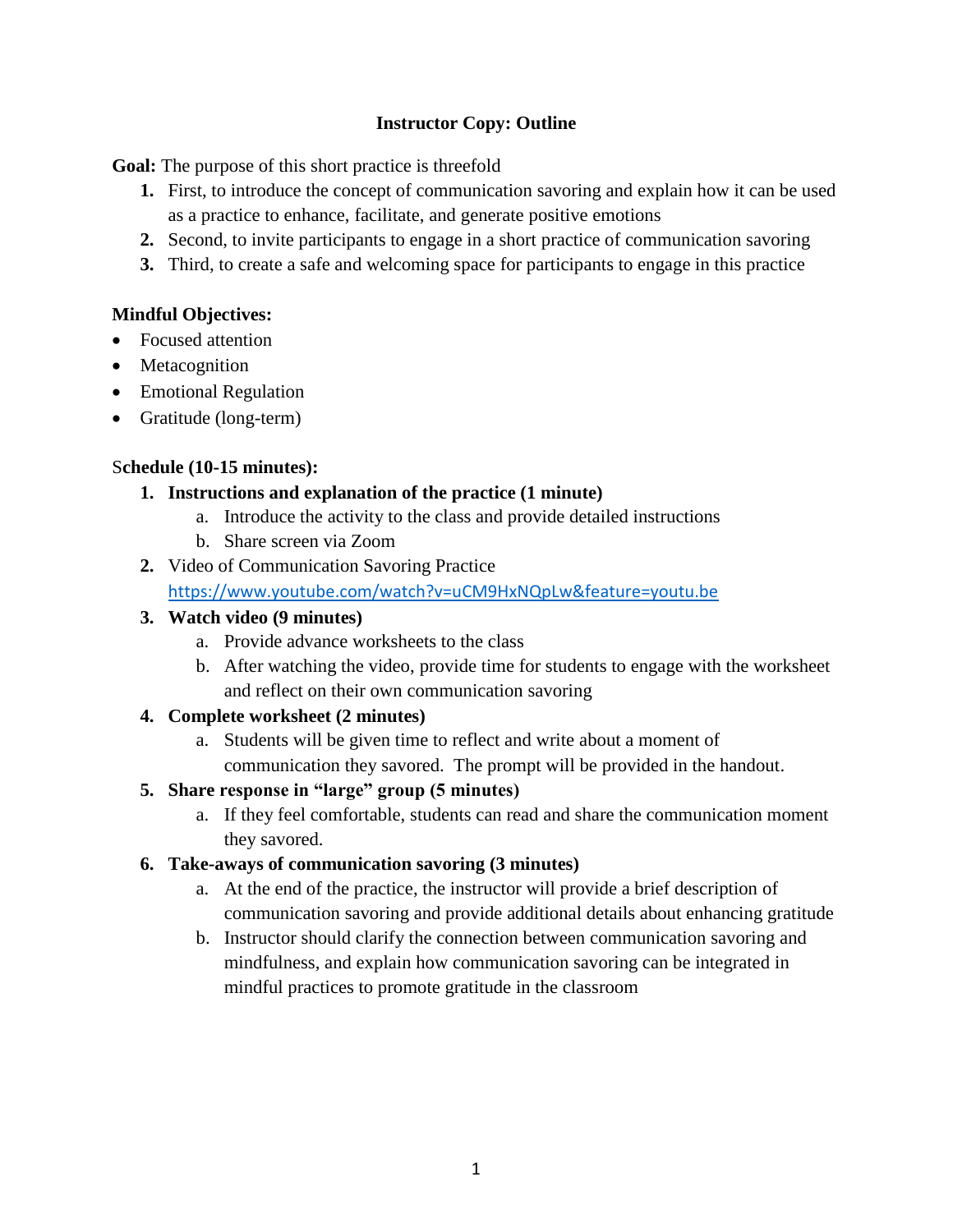# **Instructor Copy: Outline**

**Goal:** The purpose of this short practice is threefold

- **1.** First, to introduce the concept of communication savoring and explain how it can be used as a practice to enhance, facilitate, and generate positive emotions
- **2.** Second, to invite participants to engage in a short practice of communication savoring
- **3.** Third, to create a safe and welcoming space for participants to engage in this practice

# **Mindful Objectives:**

- Focused attention
- Metacognition
- Emotional Regulation
- Gratitude (long-term)

# S**chedule (10-15 minutes):**

- **1. Instructions and explanation of the practice (1 minute)**
	- a. Introduce the activity to the class and provide detailed instructions
	- b. Share screen via Zoom
- **2.** Video of Communication Savoring Practice <https://www.youtube.com/watch?v=uCM9HxNQpLw&feature=youtu.be>

# **3. Watch video (9 minutes)**

- a. Provide advance worksheets to the class
- b. After watching the video, provide time for students to engage with the worksheet and reflect on their own communication savoring

# **4. Complete worksheet (2 minutes)**

a. Students will be given time to reflect and write about a moment of communication they savored. The prompt will be provided in the handout.

# **5. Share response in "large" group (5 minutes)**

a. If they feel comfortable, students can read and share the communication moment they savored.

## **6. Take-aways of communication savoring (3 minutes)**

- a. At the end of the practice, the instructor will provide a brief description of communication savoring and provide additional details about enhancing gratitude
- b. Instructor should clarify the connection between communication savoring and mindfulness, and explain how communication savoring can be integrated in mindful practices to promote gratitude in the classroom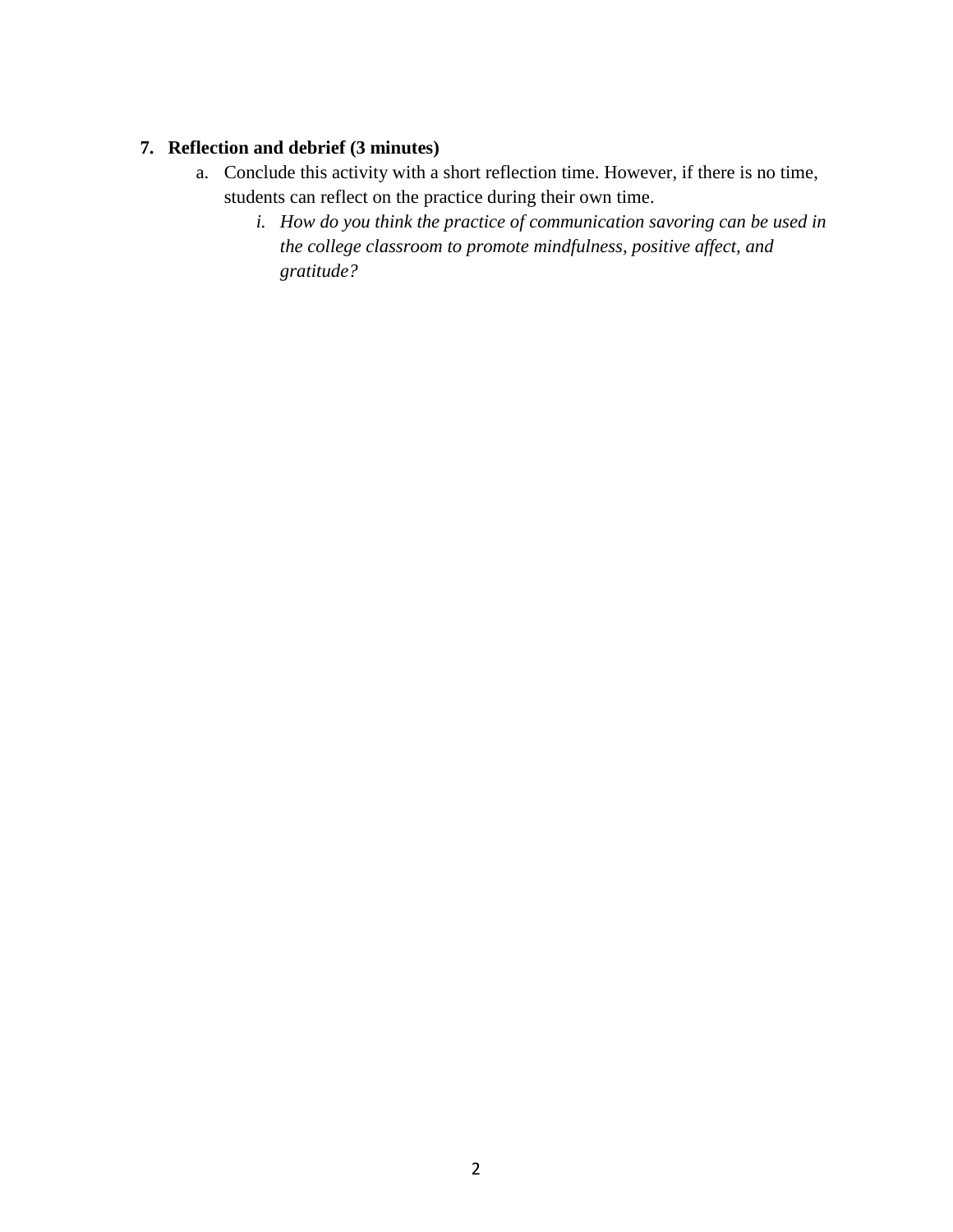# **7. Reflection and debrief (3 minutes)**

- a. Conclude this activity with a short reflection time. However, if there is no time, students can reflect on the practice during their own time.
	- *i. How do you think the practice of communication savoring can be used in the college classroom to promote mindfulness, positive affect, and gratitude?*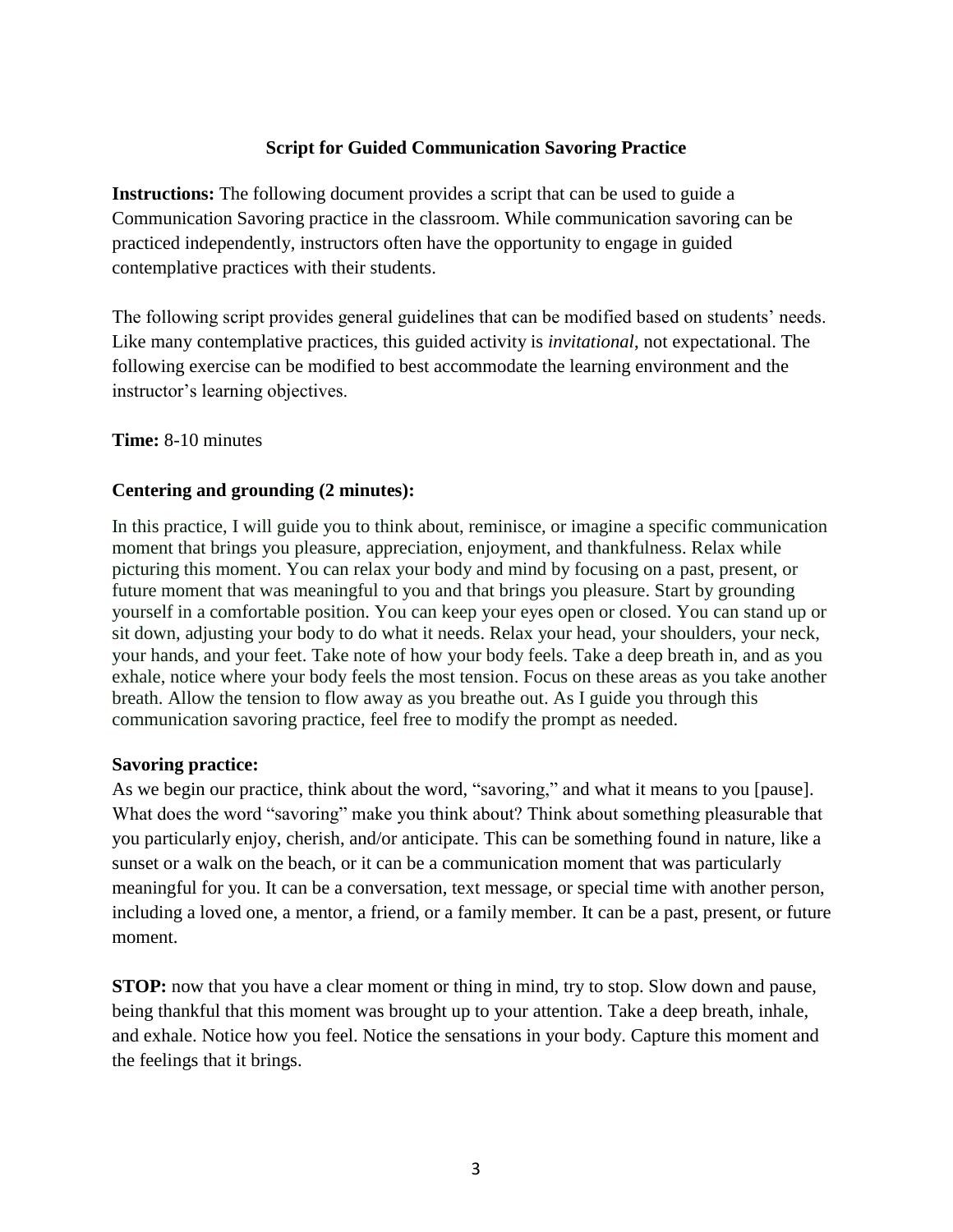## **Script for Guided Communication Savoring Practice**

**Instructions:** The following document provides a script that can be used to guide a Communication Savoring practice in the classroom. While communication savoring can be practiced independently, instructors often have the opportunity to engage in guided contemplative practices with their students.

The following script provides general guidelines that can be modified based on students' needs. Like many contemplative practices, this guided activity is *invitational*, not expectational. The following exercise can be modified to best accommodate the learning environment and the instructor's learning objectives.

#### **Time:** 8-10 minutes

#### **Centering and grounding (2 minutes):**

In this practice, I will guide you to think about, reminisce, or imagine a specific communication moment that brings you pleasure, appreciation, enjoyment, and thankfulness. Relax while picturing this moment. You can relax your body and mind by focusing on a past, present, or future moment that was meaningful to you and that brings you pleasure. Start by grounding yourself in a comfortable position. You can keep your eyes open or closed. You can stand up or sit down, adjusting your body to do what it needs. Relax your head, your shoulders, your neck, your hands, and your feet. Take note of how your body feels. Take a deep breath in, and as you exhale, notice where your body feels the most tension. Focus on these areas as you take another breath. Allow the tension to flow away as you breathe out. As I guide you through this communication savoring practice, feel free to modify the prompt as needed.

#### **Savoring practice:**

As we begin our practice, think about the word, "savoring," and what it means to you [pause]. What does the word "savoring" make you think about? Think about something pleasurable that you particularly enjoy, cherish, and/or anticipate. This can be something found in nature, like a sunset or a walk on the beach, or it can be a communication moment that was particularly meaningful for you. It can be a conversation, text message, or special time with another person, including a loved one, a mentor, a friend, or a family member. It can be a past, present, or future moment.

**STOP:** now that you have a clear moment or thing in mind, try to stop. Slow down and pause, being thankful that this moment was brought up to your attention. Take a deep breath, inhale, and exhale. Notice how you feel. Notice the sensations in your body. Capture this moment and the feelings that it brings.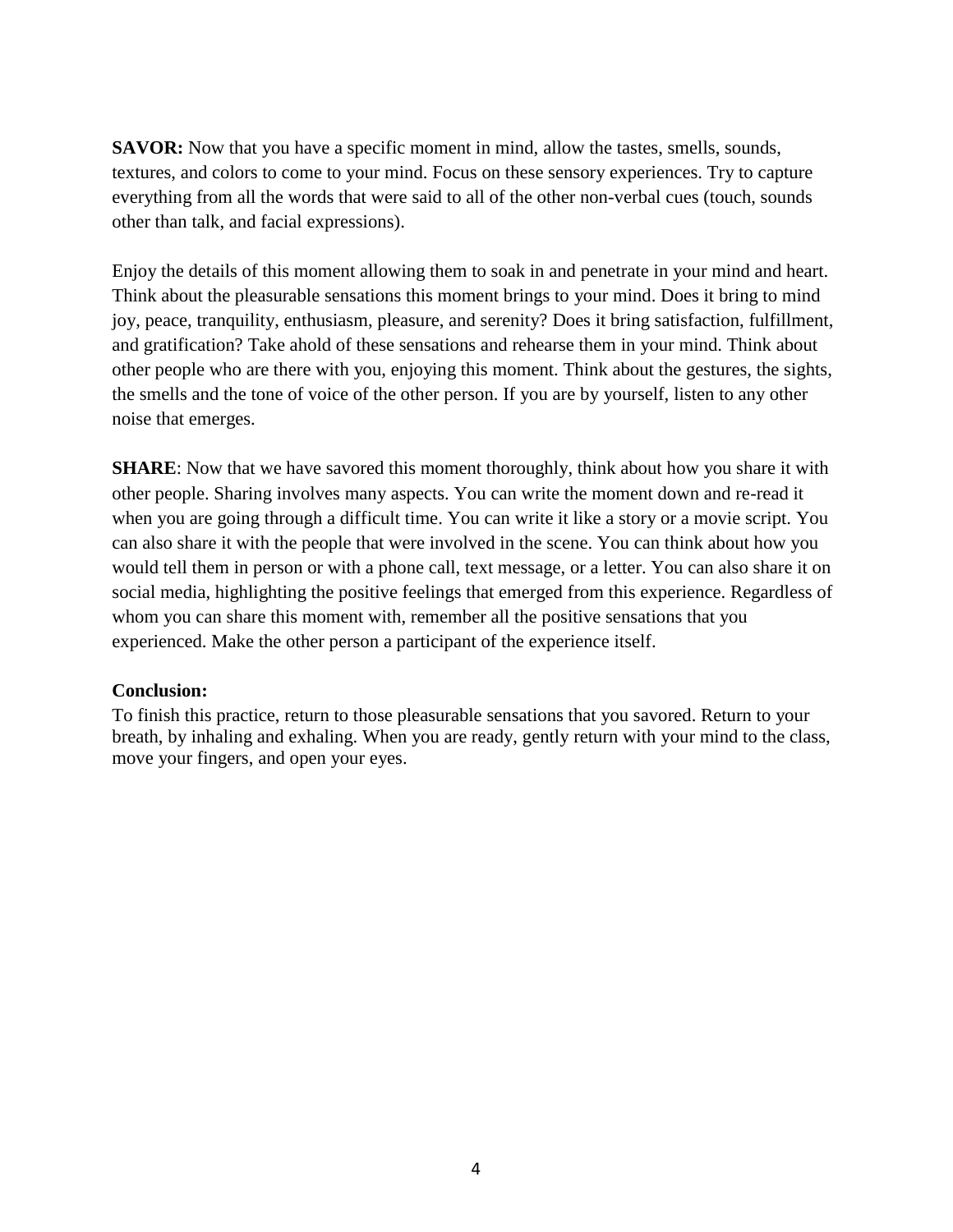**SAVOR:** Now that you have a specific moment in mind, allow the tastes, smells, sounds, textures, and colors to come to your mind. Focus on these sensory experiences. Try to capture everything from all the words that were said to all of the other non-verbal cues (touch, sounds other than talk, and facial expressions).

Enjoy the details of this moment allowing them to soak in and penetrate in your mind and heart. Think about the pleasurable sensations this moment brings to your mind. Does it bring to mind joy, peace, tranquility, enthusiasm, pleasure, and serenity? Does it bring satisfaction, fulfillment, and gratification? Take ahold of these sensations and rehearse them in your mind. Think about other people who are there with you, enjoying this moment. Think about the gestures, the sights, the smells and the tone of voice of the other person. If you are by yourself, listen to any other noise that emerges.

**SHARE**: Now that we have savored this moment thoroughly, think about how you share it with other people. Sharing involves many aspects. You can write the moment down and re-read it when you are going through a difficult time. You can write it like a story or a movie script. You can also share it with the people that were involved in the scene. You can think about how you would tell them in person or with a phone call, text message, or a letter. You can also share it on social media, highlighting the positive feelings that emerged from this experience. Regardless of whom you can share this moment with, remember all the positive sensations that you experienced. Make the other person a participant of the experience itself.

#### **Conclusion:**

To finish this practice, return to those pleasurable sensations that you savored. Return to your breath, by inhaling and exhaling. When you are ready, gently return with your mind to the class, move your fingers, and open your eyes.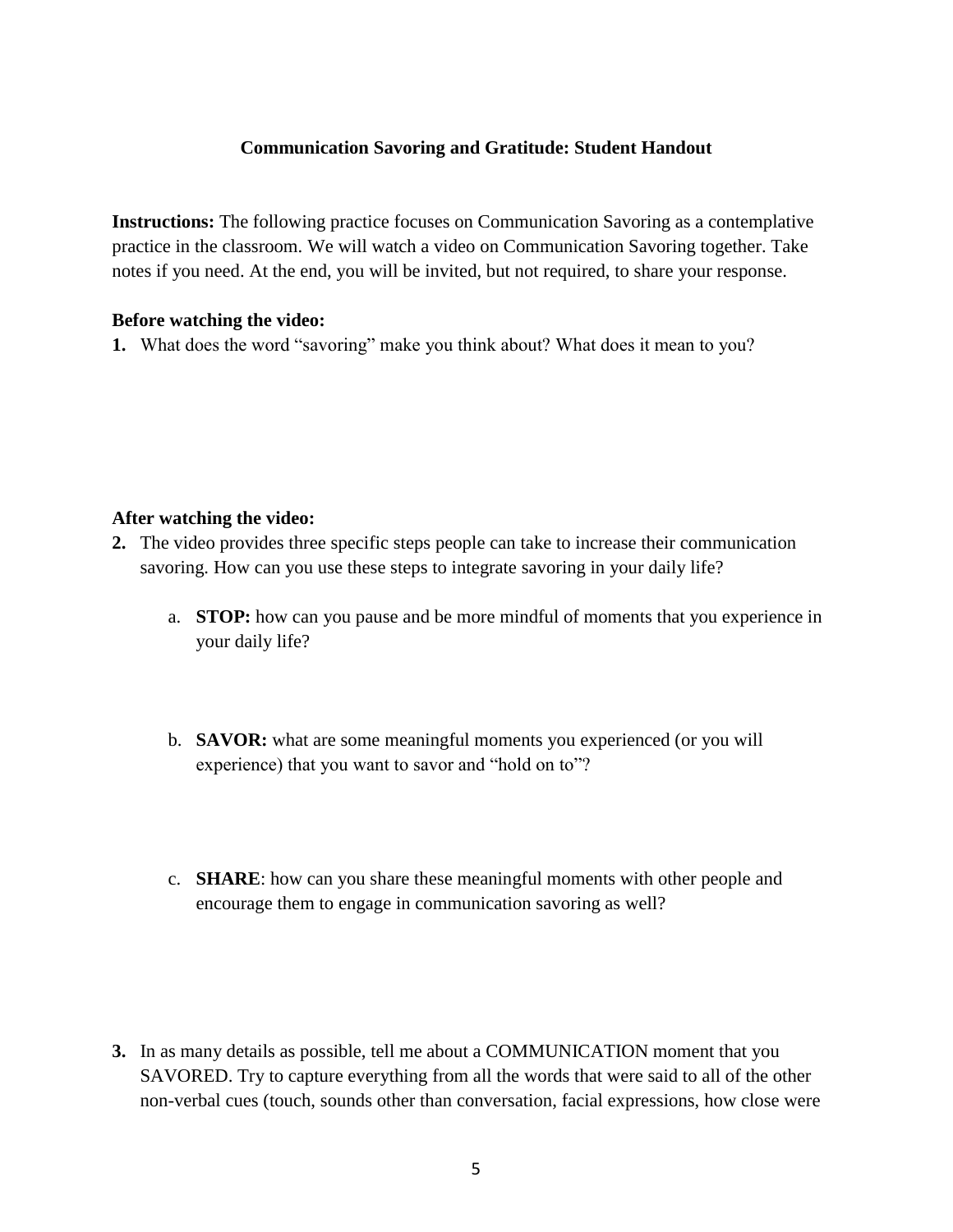#### **Communication Savoring and Gratitude: Student Handout**

**Instructions:** The following practice focuses on Communication Savoring as a contemplative practice in the classroom. We will watch a video on Communication Savoring together. Take notes if you need. At the end, you will be invited, but not required, to share your response.

#### **Before watching the video:**

**1.** What does the word "savoring" make you think about? What does it mean to you?

#### **After watching the video:**

- **2.** The video provides three specific steps people can take to increase their communication savoring. How can you use these steps to integrate savoring in your daily life?
	- a. **STOP:** how can you pause and be more mindful of moments that you experience in your daily life?
	- b. **SAVOR:** what are some meaningful moments you experienced (or you will experience) that you want to savor and "hold on to"?
	- c. **SHARE**: how can you share these meaningful moments with other people and encourage them to engage in communication savoring as well?

**3.** In as many details as possible, tell me about a COMMUNICATION moment that you SAVORED. Try to capture everything from all the words that were said to all of the other non-verbal cues (touch, sounds other than conversation, facial expressions, how close were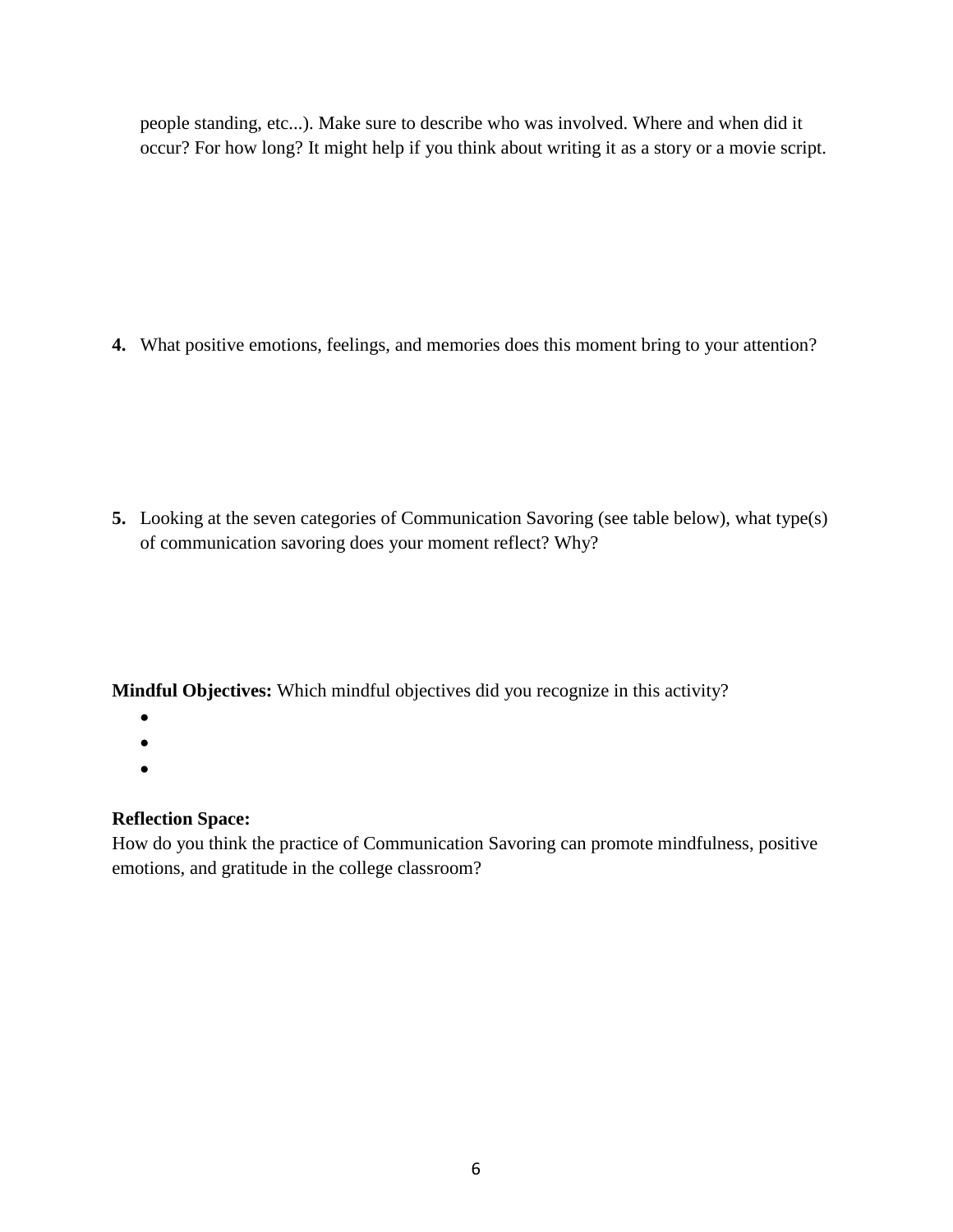people standing, etc...). Make sure to describe who was involved. Where and when did it occur? For how long? It might help if you think about writing it as a story or a movie script.

**4.** What positive emotions, feelings, and memories does this moment bring to your attention?

**5.** Looking at the seven categories of Communication Savoring (see table below), what type(s) of communication savoring does your moment reflect? Why?

**Mindful Objectives:** Which mindful objectives did you recognize in this activity?

- $\bullet$
- $\bullet$
- $\bullet$

# **Reflection Space:**

How do you think the practice of Communication Savoring can promote mindfulness, positive emotions, and gratitude in the college classroom?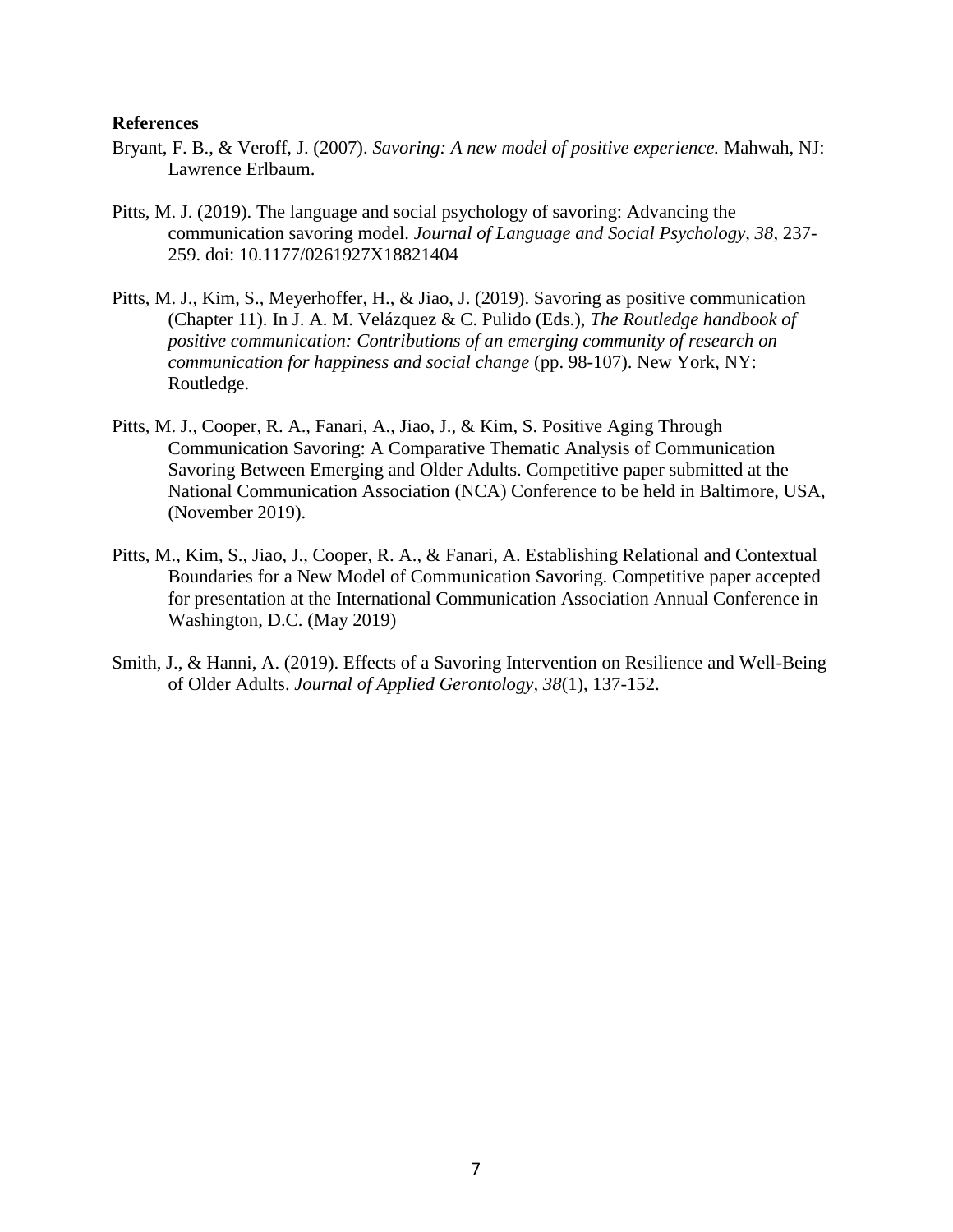#### **References**

- Bryant, F. B., & Veroff, J. (2007). *Savoring: A new model of positive experience.* Mahwah, NJ: Lawrence Erlbaum.
- Pitts, M. J. (2019). The language and social psychology of savoring: Advancing the communication savoring model. *Journal of Language and Social Psychology, 38*, 237- 259. doi: 10.1177/0261927X18821404
- Pitts, M. J., Kim, S., Meyerhoffer, H., & Jiao, J. (2019). Savoring as positive communication (Chapter 11). In J. A. M. Velázquez & C. Pulido (Eds.), *The Routledge handbook of positive communication: Contributions of an emerging community of research on communication for happiness and social change* (pp. 98-107). New York, NY: Routledge.
- Pitts, M. J., Cooper, R. A., Fanari, A., Jiao, J., & Kim, S. Positive Aging Through Communication Savoring: A Comparative Thematic Analysis of Communication Savoring Between Emerging and Older Adults. Competitive paper submitted at the National Communication Association (NCA) Conference to be held in Baltimore, USA, (November 2019).
- Pitts, M., Kim, S., Jiao, J., Cooper, R. A., & Fanari, A. Establishing Relational and Contextual Boundaries for a New Model of Communication Savoring. Competitive paper accepted for presentation at the International Communication Association Annual Conference in Washington, D.C. (May 2019)
- Smith, J., & Hanni, A. (2019). Effects of a Savoring Intervention on Resilience and Well-Being of Older Adults. *Journal of Applied Gerontology, 38*(1), 137-152.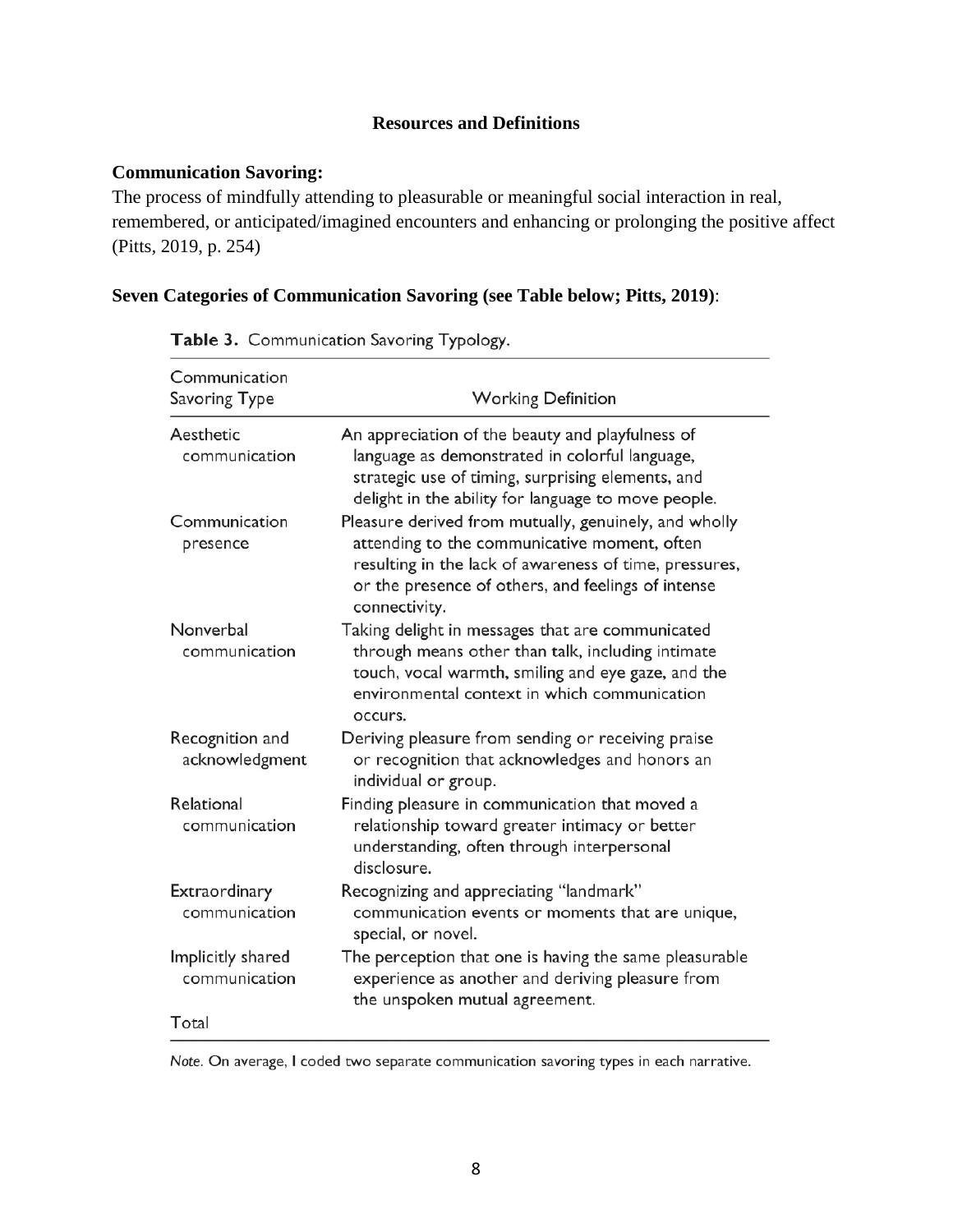#### **Resources and Definitions**

#### **Communication Savoring:**

The process of mindfully attending to pleasurable or meaningful social interaction in real, remembered, or anticipated/imagined encounters and enhancing or prolonging the positive affect (Pitts, 2019, p. 254)

#### **Seven Categories of Communication Savoring (see Table below; Pitts, 2019)**:

| Communication<br>Savoring Type     | <b>Working Definition</b>                                                                                                                                                                                                              |
|------------------------------------|----------------------------------------------------------------------------------------------------------------------------------------------------------------------------------------------------------------------------------------|
| Aesthetic<br>communication         | An appreciation of the beauty and playfulness of<br>language as demonstrated in colorful language,<br>strategic use of timing, surprising elements, and<br>delight in the ability for language to move people.                         |
| Communication<br>presence          | Pleasure derived from mutually, genuinely, and wholly<br>attending to the communicative moment, often<br>resulting in the lack of awareness of time, pressures,<br>or the presence of others, and feelings of intense<br>connectivity. |
| Nonverbal<br>communication         | Taking delight in messages that are communicated<br>through means other than talk, including intimate<br>touch, vocal warmth, smiling and eye gaze, and the<br>environmental context in which communication<br>occurs.                 |
| Recognition and<br>acknowledgment  | Deriving pleasure from sending or receiving praise<br>or recognition that acknowledges and honors an<br>individual or group.                                                                                                           |
| Relational<br>communication        | Finding pleasure in communication that moved a<br>relationship toward greater intimacy or better<br>understanding, often through interpersonal<br>disclosure.                                                                          |
| Extraordinary<br>communication     | Recognizing and appreciating "landmark"<br>communication events or moments that are unique,<br>special, or novel.                                                                                                                      |
| Implicitly shared<br>communication | The perception that one is having the same pleasurable<br>experience as another and deriving pleasure from<br>the unspoken mutual agreement.                                                                                           |
| Total                              |                                                                                                                                                                                                                                        |

Table 3. Communication Savoring Typology.

Note. On average, I coded two separate communication savoring types in each narrative.